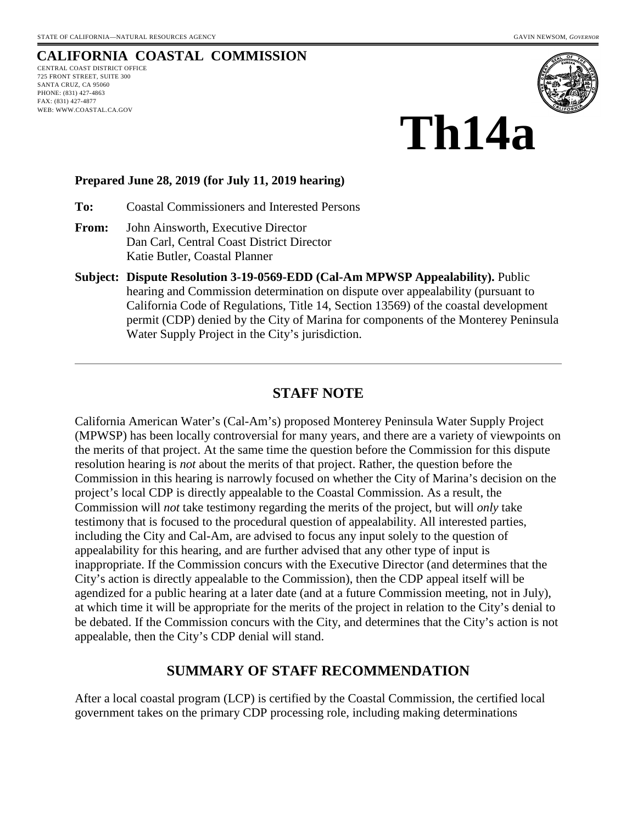# **CALIFORNIA COASTAL COMMISSION**

CENTRAL COAST DISTRICT OFFICE 725 FRONT STREET, SUITE 300 SANTA CRUZ, CA 95060 PHONE: (831) 427-4863 FAX: (831) 427-4877 WEB: WWW.COASTAL.CA.GOV



# **Th14a**

#### **Prepared June 28, 2019 (for July 11, 2019 hearing)**

**To:** Coastal Commissioners and Interested Persons

- **From:** John Ainsworth, Executive Director Dan Carl, Central Coast District Director Katie Butler, Coastal Planner
- **Subject: Dispute Resolution 3-19-0569-EDD (Cal-Am MPWSP Appealability).** Public hearing and Commission determination on dispute over appealability (pursuant to California Code of Regulations, Title 14, Section 13569) of the coastal development permit (CDP) denied by the City of Marina for components of the Monterey Peninsula Water Supply Project in the City's jurisdiction.

#### **STAFF NOTE**

California American Water's (Cal-Am's) proposed Monterey Peninsula Water Supply Project (MPWSP) has been locally controversial for many years, and there are a variety of viewpoints on the merits of that project. At the same time the question before the Commission for this dispute resolution hearing is *not* about the merits of that project. Rather, the question before the Commission in this hearing is narrowly focused on whether the City of Marina's decision on the project's local CDP is directly appealable to the Coastal Commission. As a result, the Commission will *not* take testimony regarding the merits of the project, but will *only* take testimony that is focused to the procedural question of appealability. All interested parties, including the City and Cal-Am, are advised to focus any input solely to the question of appealability for this hearing, and are further advised that any other type of input is inappropriate. If the Commission concurs with the Executive Director (and determines that the City's action is directly appealable to the Commission), then the CDP appeal itself will be agendized for a public hearing at a later date (and at a future Commission meeting, not in July), at which time it will be appropriate for the merits of the project in relation to the City's denial to be debated. If the Commission concurs with the City, and determines that the City's action is not appealable, then the City's CDP denial will stand.

#### **SUMMARY OF STAFF RECOMMENDATION**

After a local coastal program (LCP) is certified by the Coastal Commission, the certified local government takes on the primary CDP processing role, including making determinations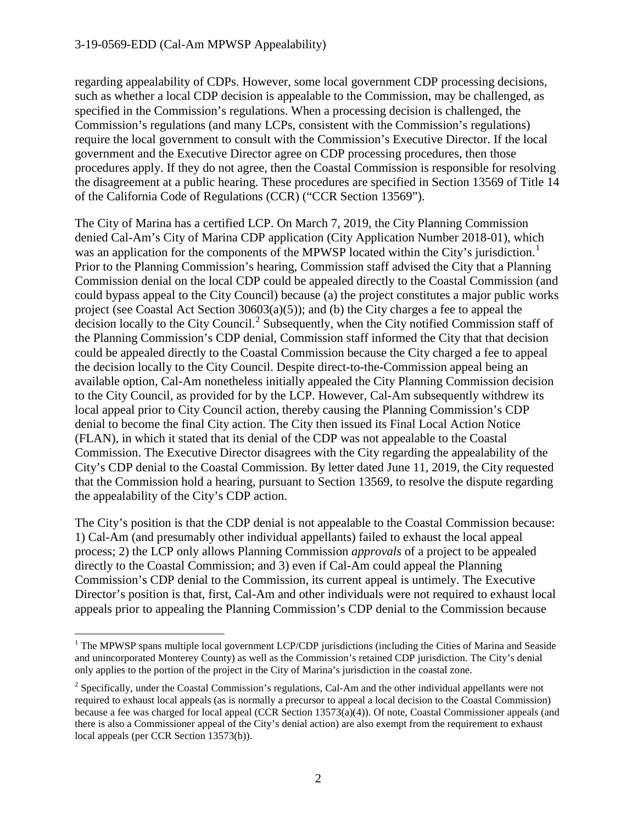regarding appealability of CDPs. However, some local government CDP processing decisions, such as whether a local CDP decision is appealable to the Commission, may be challenged, as specified in the Commission's regulations. When a processing decision is challenged, the Commission's regulations (and many LCPs, consistent with the Commission's regulations) require the local government to consult with the Commission's Executive Director. If the local government and the Executive Director agree on CDP processing procedures, then those procedures apply. If they do not agree, then the Coastal Commission is responsible for resolving the disagreement at a public hearing. These procedures are specified in Section 13569 of Title 14 of the California Code of Regulations (CCR) ("CCR Section 13569").

The City of Marina has a certified LCP. On March 7, 2019, the City Planning Commission denied Cal-Am's City of Marina CDP application (City Application Number 2018-01), which was an application for the components of the MPWSP located within the City's jurisdiction.<sup>[1](#page-1-0)</sup> Prior to the Planning Commission's hearing, Commission staff advised the City that a Planning Commission denial on the local CDP could be appealed directly to the Coastal Commission (and could bypass appeal to the City Council) because (a) the project constitutes a major public works project (see Coastal Act Section 30603(a)(5)); and (b) the City charges a fee to appeal the decision locally to the City Council.<sup>[2](#page-1-1)</sup> Subsequently, when the City notified Commission staff of the Planning Commission's CDP denial, Commission staff informed the City that that decision could be appealed directly to the Coastal Commission because the City charged a fee to appeal the decision locally to the City Council. Despite direct-to-the-Commission appeal being an available option, Cal-Am nonetheless initially appealed the City Planning Commission decision to the City Council, as provided for by the LCP. However, Cal-Am subsequently withdrew its local appeal prior to City Council action, thereby causing the Planning Commission's CDP denial to become the final City action. The City then issued its Final Local Action Notice (FLAN), in which it stated that its denial of the CDP was not appealable to the Coastal Commission. The Executive Director disagrees with the City regarding the appealability of the City's CDP denial to the Coastal Commission. By letter dated June 11, 2019, the City requested that the Commission hold a hearing, pursuant to Section 13569, to resolve the dispute regarding the appealability of the City's CDP action.

The City's position is that the CDP denial is not appealable to the Coastal Commission because: 1) Cal-Am (and presumably other individual appellants) failed to exhaust the local appeal process; 2) the LCP only allows Planning Commission *approvals* of a project to be appealed directly to the Coastal Commission; and 3) even if Cal-Am could appeal the Planning Commission's CDP denial to the Commission, its current appeal is untimely. The Executive Director's position is that, first, Cal-Am and other individuals were not required to exhaust local appeals prior to appealing the Planning Commission's CDP denial to the Commission because

<span id="page-1-0"></span><sup>&</sup>lt;sup>1</sup> The MPWSP spans multiple local government LCP/CDP jurisdictions (including the Cities of Marina and Seaside and unincorporated Monterey County) as well as the Commission's retained CDP jurisdiction. The City's denial only applies to the portion of the project in the City of Marina's jurisdiction in the coastal zone.

<span id="page-1-1"></span> $2$  Specifically, under the Coastal Commission's regulations, Cal-Am and the other individual appellants were not required to exhaust local appeals (as is normally a precursor to appeal a local decision to the Coastal Commission) because a fee was charged for local appeal (CCR Section 13573(a)(4)). Of note, Coastal Commissioner appeals (and there is also a Commissioner appeal of the City's denial action) are also exempt from the requirement to exhaust local appeals (per CCR Section 13573(b)).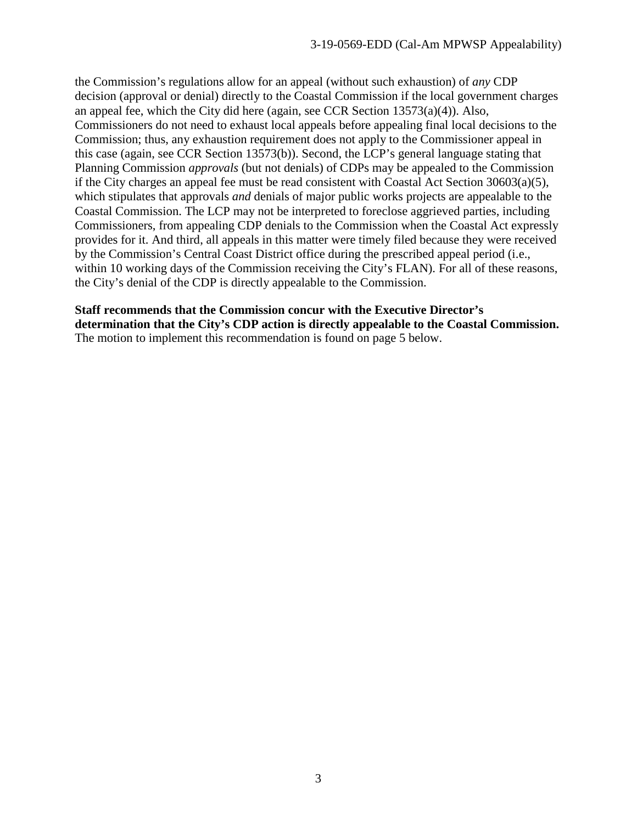the Commission's regulations allow for an appeal (without such exhaustion) of *any* CDP decision (approval or denial) directly to the Coastal Commission if the local government charges an appeal fee, which the City did here (again, see CCR Section  $13573(a)(4)$ ). Also, Commissioners do not need to exhaust local appeals before appealing final local decisions to the Commission; thus, any exhaustion requirement does not apply to the Commissioner appeal in this case (again, see CCR Section 13573(b)). Second, the LCP's general language stating that Planning Commission *approvals* (but not denials) of CDPs may be appealed to the Commission if the City charges an appeal fee must be read consistent with Coastal Act Section 30603(a)(5), which stipulates that approvals *and* denials of major public works projects are appealable to the Coastal Commission. The LCP may not be interpreted to foreclose aggrieved parties, including Commissioners, from appealing CDP denials to the Commission when the Coastal Act expressly provides for it. And third, all appeals in this matter were timely filed because they were received by the Commission's Central Coast District office during the prescribed appeal period (i.e., within 10 working days of the Commission receiving the City's FLAN). For all of these reasons, the City's denial of the CDP is directly appealable to the Commission.

#### **Staff recommends that the Commission concur with the Executive Director's**

**determination that the City's CDP action is directly appealable to the Coastal Commission.**  The motion to implement this recommendation is found on page 5 below.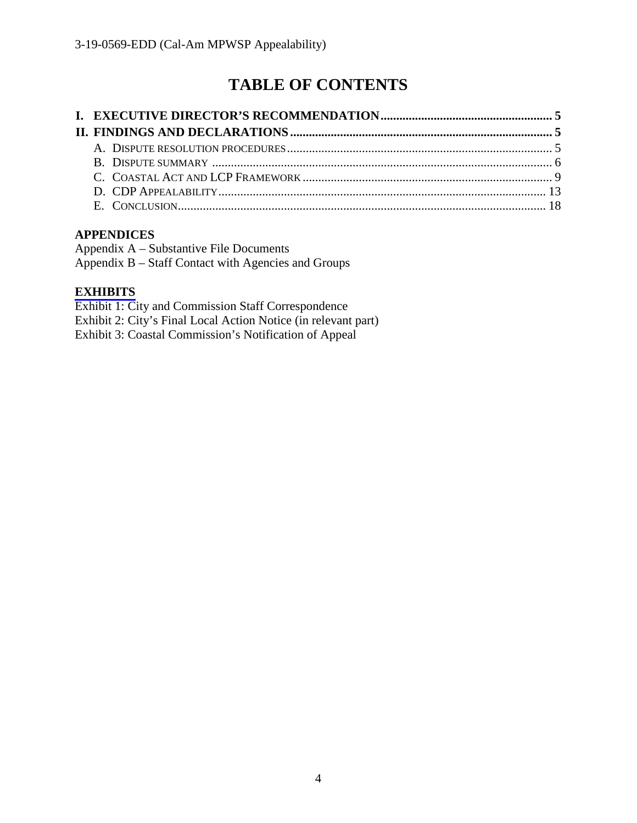# **TABLE OF CONTENTS**

#### **APPENDICES**

| Appendix A – Substantive File Documents             |  |
|-----------------------------------------------------|--|
| Appendix B – Staff Contact with Agencies and Groups |  |

#### **[EXHIBITS](https://documents.coastal.ca.gov/reports/2019/7/th14a/th14a-7-2019-exhibits.pdf)**

Exhibit 1: City and Commission Staff Correspondence Exhibit 2: City's Final Local Action Notice (in relevant part) Exhibit 3: Coastal Commission's Notification of Appeal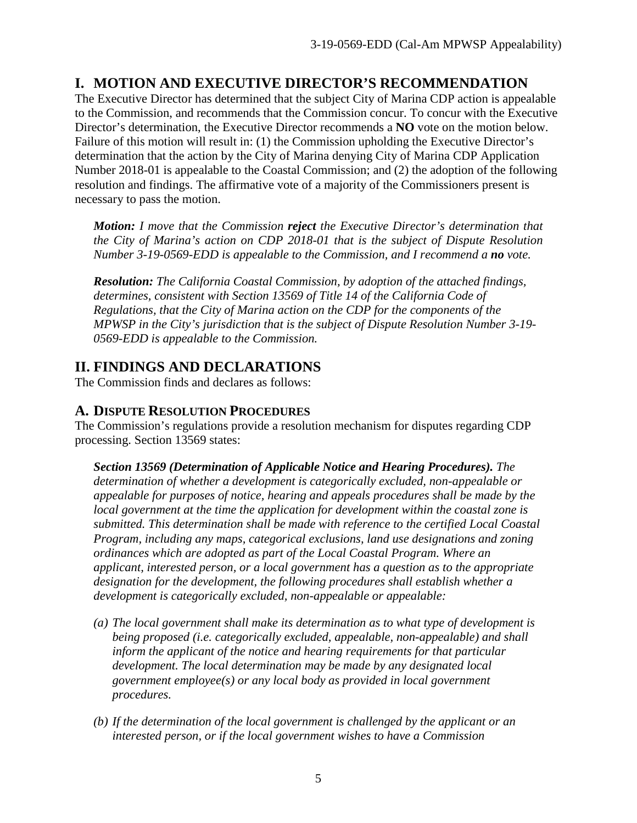## <span id="page-4-0"></span>**I. MOTION AND EXECUTIVE DIRECTOR'S RECOMMENDATION**

The Executive Director has determined that the subject City of Marina CDP action is appealable to the Commission, and recommends that the Commission concur. To concur with the Executive Director's determination, the Executive Director recommends a **NO** vote on the motion below. Failure of this motion will result in: (1) the Commission upholding the Executive Director's determination that the action by the City of Marina denying City of Marina CDP Application Number 2018-01 is appealable to the Coastal Commission; and (2) the adoption of the following resolution and findings. The affirmative vote of a majority of the Commissioners present is necessary to pass the motion.

*Motion: I move that the Commission reject the Executive Director's determination that the City of Marina's action on CDP 2018-01 that is the subject of Dispute Resolution Number 3-19-0569-EDD is appealable to the Commission, and I recommend a no vote.*

*Resolution: The California Coastal Commission, by adoption of the attached findings, determines, consistent with Section 13569 of Title 14 of the California Code of Regulations, that the City of Marina action on the CDP for the components of the MPWSP in the City's jurisdiction that is the subject of Dispute Resolution Number 3-19- 0569-EDD is appealable to the Commission.*

# <span id="page-4-1"></span>**II. FINDINGS AND DECLARATIONS**

The Commission finds and declares as follows:

### <span id="page-4-2"></span>**A. DISPUTE RESOLUTION PROCEDURES**

The Commission's regulations provide a resolution mechanism for disputes regarding CDP processing. Section 13569 states:

*Section 13569 (Determination of Applicable Notice and Hearing Procedures). The determination of whether a development is categorically excluded, non-appealable or appealable for purposes of notice, hearing and appeals procedures shall be made by the local government at the time the application for development within the coastal zone is submitted. This determination shall be made with reference to the certified Local Coastal Program, including any maps, categorical exclusions, land use designations and zoning ordinances which are adopted as part of the Local Coastal Program. Where an applicant, interested person, or a local government has a question as to the appropriate designation for the development, the following procedures shall establish whether a development is categorically excluded, non-appealable or appealable:* 

- *(a) The local government shall make its determination as to what type of development is being proposed (i.e. categorically excluded, appealable, non-appealable) and shall inform the applicant of the notice and hearing requirements for that particular development. The local determination may be made by any designated local government employee(s) or any local body as provided in local government procedures.*
- *(b) If the determination of the local government is challenged by the applicant or an interested person, or if the local government wishes to have a Commission*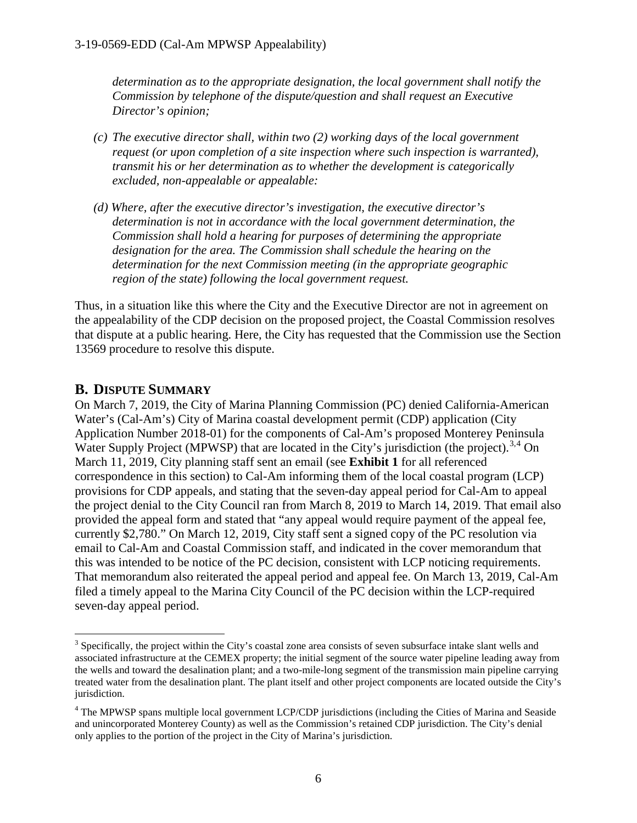*determination as to the appropriate designation, the local government shall notify the Commission by telephone of the dispute/question and shall request an Executive Director's opinion;* 

- *(c) The executive director shall, within two (2) working days of the local government request (or upon completion of a site inspection where such inspection is warranted), transmit his or her determination as to whether the development is categorically excluded, non-appealable or appealable:*
- *(d) Where, after the executive director's investigation, the executive director's determination is not in accordance with the local government determination, the Commission shall hold a hearing for purposes of determining the appropriate designation for the area. The Commission shall schedule the hearing on the determination for the next Commission meeting (in the appropriate geographic region of the state) following the local government request.*

Thus, in a situation like this where the City and the Executive Director are not in agreement on the appealability of the CDP decision on the proposed project, the Coastal Commission resolves that dispute at a public hearing. Here, the City has requested that the Commission use the Section 13569 procedure to resolve this dispute.

#### <span id="page-5-0"></span>**B. DISPUTE SUMMARY**

On March 7, 2019, the City of Marina Planning Commission (PC) denied California-American Water's (Cal-Am's) City of Marina coastal development permit (CDP) application (City Application Number 2018-01) for the components of Cal-Am's proposed Monterey Peninsula Water Supply Project (MPWSP) that are located in the City's jurisdiction (the project).<sup>[3](#page-5-1),[4](#page-5-2)</sup> On March 11, 2019, City planning staff sent an email (see **Exhibit 1** for all referenced correspondence in this section) to Cal-Am informing them of the local coastal program (LCP) provisions for CDP appeals, and stating that the seven-day appeal period for Cal-Am to appeal the project denial to the City Council ran from March 8, 2019 to March 14, 2019. That email also provided the appeal form and stated that "any appeal would require payment of the appeal fee, currently \$2,780." On March 12, 2019, City staff sent a signed copy of the PC resolution via email to Cal-Am and Coastal Commission staff, and indicated in the cover memorandum that this was intended to be notice of the PC decision, consistent with LCP noticing requirements. That memorandum also reiterated the appeal period and appeal fee. On March 13, 2019, Cal-Am filed a timely appeal to the Marina City Council of the PC decision within the LCP-required seven-day appeal period.

<span id="page-5-1"></span><sup>&</sup>lt;sup>3</sup> Specifically, the project within the City's coastal zone area consists of seven subsurface intake slant wells and associated infrastructure at the CEMEX property; the initial segment of the source water pipeline leading away from the wells and toward the desalination plant; and a two-mile-long segment of the transmission main pipeline carrying treated water from the desalination plant. The plant itself and other project components are located outside the City's jurisdiction.

<span id="page-5-2"></span><sup>4</sup> The MPWSP spans multiple local government LCP/CDP jurisdictions (including the Cities of Marina and Seaside and unincorporated Monterey County) as well as the Commission's retained CDP jurisdiction. The City's denial only applies to the portion of the project in the City of Marina's jurisdiction.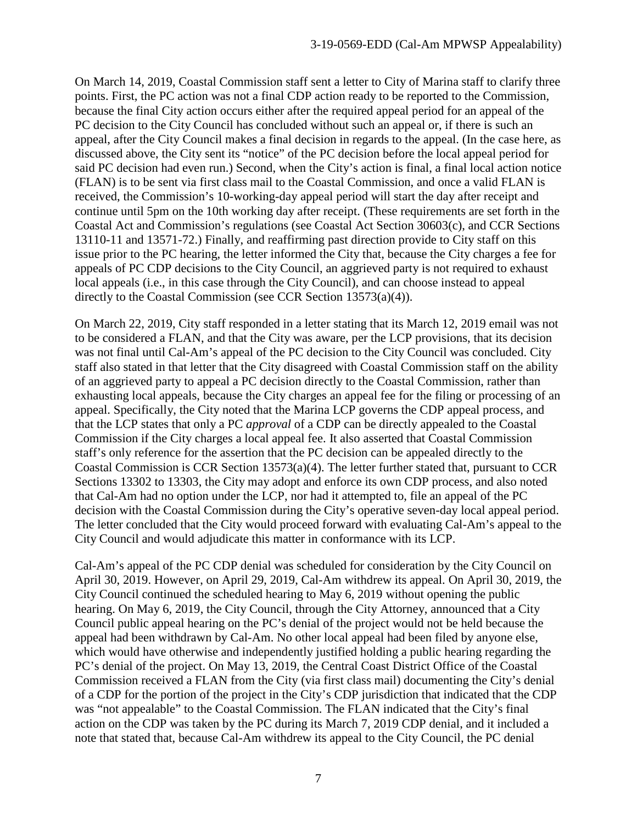On March 14, 2019, Coastal Commission staff sent a letter to City of Marina staff to clarify three points. First, the PC action was not a final CDP action ready to be reported to the Commission, because the final City action occurs either after the required appeal period for an appeal of the PC decision to the City Council has concluded without such an appeal or, if there is such an appeal, after the City Council makes a final decision in regards to the appeal. (In the case here, as discussed above, the City sent its "notice" of the PC decision before the local appeal period for said PC decision had even run.) Second, when the City's action is final, a final local action notice (FLAN) is to be sent via first class mail to the Coastal Commission, and once a valid FLAN is received, the Commission's 10-working-day appeal period will start the day after receipt and continue until 5pm on the 10th working day after receipt. (These requirements are set forth in the Coastal Act and Commission's regulations (see Coastal Act Section 30603(c), and CCR Sections 13110-11 and 13571-72.) Finally, and reaffirming past direction provide to City staff on this issue prior to the PC hearing, the letter informed the City that, because the City charges a fee for appeals of PC CDP decisions to the City Council, an aggrieved party is not required to exhaust local appeals (i.e., in this case through the City Council), and can choose instead to appeal directly to the Coastal Commission (see CCR Section 13573(a)(4)).

On March 22, 2019, City staff responded in a letter stating that its March 12, 2019 email was not to be considered a FLAN, and that the City was aware, per the LCP provisions, that its decision was not final until Cal-Am's appeal of the PC decision to the City Council was concluded. City staff also stated in that letter that the City disagreed with Coastal Commission staff on the ability of an aggrieved party to appeal a PC decision directly to the Coastal Commission, rather than exhausting local appeals, because the City charges an appeal fee for the filing or processing of an appeal. Specifically, the City noted that the Marina LCP governs the CDP appeal process, and that the LCP states that only a PC *approval* of a CDP can be directly appealed to the Coastal Commission if the City charges a local appeal fee. It also asserted that Coastal Commission staff's only reference for the assertion that the PC decision can be appealed directly to the Coastal Commission is CCR Section 13573(a)(4). The letter further stated that, pursuant to CCR Sections 13302 to 13303, the City may adopt and enforce its own CDP process, and also noted that Cal-Am had no option under the LCP, nor had it attempted to, file an appeal of the PC decision with the Coastal Commission during the City's operative seven-day local appeal period. The letter concluded that the City would proceed forward with evaluating Cal-Am's appeal to the City Council and would adjudicate this matter in conformance with its LCP.

Cal-Am's appeal of the PC CDP denial was scheduled for consideration by the City Council on April 30, 2019. However, on April 29, 2019, Cal-Am withdrew its appeal. On April 30, 2019, the City Council continued the scheduled hearing to May 6, 2019 without opening the public hearing. On May 6, 2019, the City Council, through the City Attorney, announced that a City Council public appeal hearing on the PC's denial of the project would not be held because the appeal had been withdrawn by Cal-Am. No other local appeal had been filed by anyone else, which would have otherwise and independently justified holding a public hearing regarding the PC's denial of the project. On May 13, 2019, the Central Coast District Office of the Coastal Commission received a FLAN from the City (via first class mail) documenting the City's denial of a CDP for the portion of the project in the City's CDP jurisdiction that indicated that the CDP was "not appealable" to the Coastal Commission. The FLAN indicated that the City's final action on the CDP was taken by the PC during its March 7, 2019 CDP denial, and it included a note that stated that, because Cal-Am withdrew its appeal to the City Council, the PC denial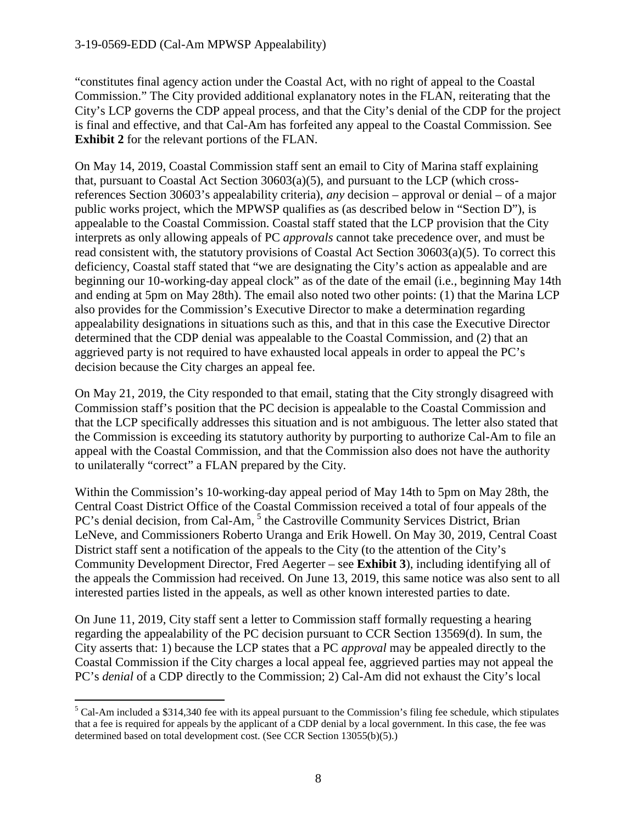"constitutes final agency action under the Coastal Act, with no right of appeal to the Coastal Commission." The City provided additional explanatory notes in the FLAN, reiterating that the City's LCP governs the CDP appeal process, and that the City's denial of the CDP for the project is final and effective, and that Cal-Am has forfeited any appeal to the Coastal Commission. See **Exhibit 2** for the relevant portions of the FLAN.

On May 14, 2019, Coastal Commission staff sent an email to City of Marina staff explaining that, pursuant to Coastal Act Section 30603(a)(5), and pursuant to the LCP (which crossreferences Section 30603's appealability criteria), *any* decision – approval or denial – of a major public works project, which the MPWSP qualifies as (as described below in "Section D"), is appealable to the Coastal Commission. Coastal staff stated that the LCP provision that the City interprets as only allowing appeals of PC *approvals* cannot take precedence over, and must be read consistent with, the statutory provisions of Coastal Act Section 30603(a)(5). To correct this deficiency, Coastal staff stated that "we are designating the City's action as appealable and are beginning our 10-working-day appeal clock" as of the date of the email (i.e., beginning May 14th and ending at 5pm on May 28th). The email also noted two other points: (1) that the Marina LCP also provides for the Commission's Executive Director to make a determination regarding appealability designations in situations such as this, and that in this case the Executive Director determined that the CDP denial was appealable to the Coastal Commission, and (2) that an aggrieved party is not required to have exhausted local appeals in order to appeal the PC's decision because the City charges an appeal fee.

On May 21, 2019, the City responded to that email, stating that the City strongly disagreed with Commission staff's position that the PC decision is appealable to the Coastal Commission and that the LCP specifically addresses this situation and is not ambiguous. The letter also stated that the Commission is exceeding its statutory authority by purporting to authorize Cal-Am to file an appeal with the Coastal Commission, and that the Commission also does not have the authority to unilaterally "correct" a FLAN prepared by the City.

Within the Commission's 10-working-day appeal period of May 14th to 5pm on May 28th, the Central Coast District Office of the Coastal Commission received a total of four appeals of the PC's denial decision, from Cal-Am, <sup>[5](#page-7-0)</sup> the Castroville Community Services District, Brian LeNeve, and Commissioners Roberto Uranga and Erik Howell. On May 30, 2019, Central Coast District staff sent a notification of the appeals to the City (to the attention of the City's Community Development Director, Fred Aegerter – see **Exhibit 3**), including identifying all of the appeals the Commission had received. On June 13, 2019, this same notice was also sent to all interested parties listed in the appeals, as well as other known interested parties to date.

On June 11, 2019, City staff sent a letter to Commission staff formally requesting a hearing regarding the appealability of the PC decision pursuant to CCR Section 13569(d). In sum, the City asserts that: 1) because the LCP states that a PC *approval* may be appealed directly to the Coastal Commission if the City charges a local appeal fee, aggrieved parties may not appeal the PC's *denial* of a CDP directly to the Commission; 2) Cal-Am did not exhaust the City's local

<span id="page-7-0"></span> $<sup>5</sup>$  Cal-Am included a \$314,340 fee with its appeal pursuant to the Commission's filing fee schedule, which stipulates</sup> that a fee is required for appeals by the applicant of a CDP denial by a local government. In this case, the fee was determined based on total development cost. (See CCR Section 13055(b)(5).)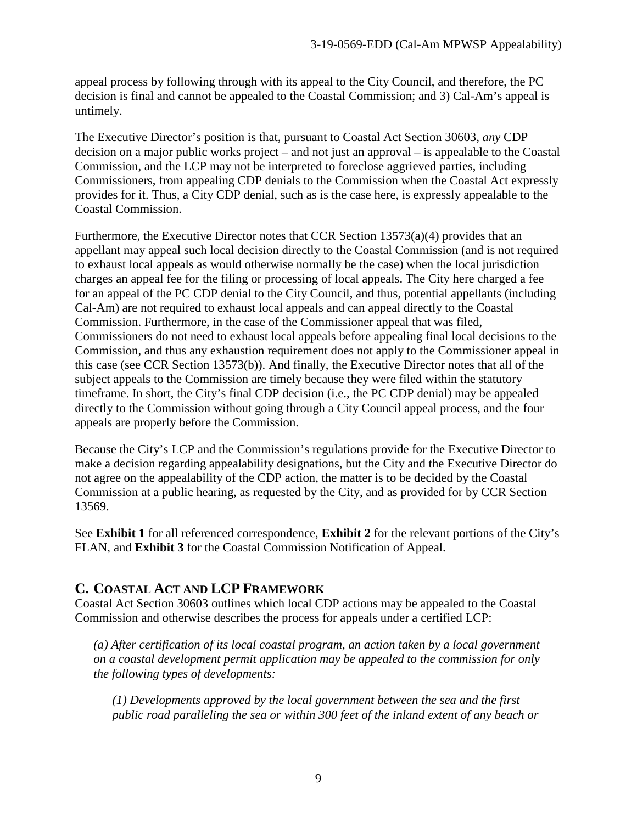appeal process by following through with its appeal to the City Council, and therefore, the PC decision is final and cannot be appealed to the Coastal Commission; and 3) Cal-Am's appeal is untimely.

The Executive Director's position is that, pursuant to Coastal Act Section 30603, *any* CDP decision on a major public works project – and not just an approval – is appealable to the Coastal Commission, and the LCP may not be interpreted to foreclose aggrieved parties, including Commissioners, from appealing CDP denials to the Commission when the Coastal Act expressly provides for it. Thus, a City CDP denial, such as is the case here, is expressly appealable to the Coastal Commission.

Furthermore, the Executive Director notes that CCR Section 13573(a)(4) provides that an appellant may appeal such local decision directly to the Coastal Commission (and is not required to exhaust local appeals as would otherwise normally be the case) when the local jurisdiction charges an appeal fee for the filing or processing of local appeals. The City here charged a fee for an appeal of the PC CDP denial to the City Council, and thus, potential appellants (including Cal-Am) are not required to exhaust local appeals and can appeal directly to the Coastal Commission. Furthermore, in the case of the Commissioner appeal that was filed, Commissioners do not need to exhaust local appeals before appealing final local decisions to the Commission, and thus any exhaustion requirement does not apply to the Commissioner appeal in this case (see CCR Section 13573(b)). And finally, the Executive Director notes that all of the subject appeals to the Commission are timely because they were filed within the statutory timeframe. In short, the City's final CDP decision (i.e., the PC CDP denial) may be appealed directly to the Commission without going through a City Council appeal process, and the four appeals are properly before the Commission.

Because the City's LCP and the Commission's regulations provide for the Executive Director to make a decision regarding appealability designations, but the City and the Executive Director do not agree on the appealability of the CDP action, the matter is to be decided by the Coastal Commission at a public hearing, as requested by the City, and as provided for by CCR Section 13569.

See **Exhibit 1** for all referenced correspondence, **Exhibit 2** for the relevant portions of the City's FLAN, and **Exhibit 3** for the Coastal Commission Notification of Appeal.

#### <span id="page-8-0"></span>**C. COASTAL ACT AND LCP FRAMEWORK**

Coastal Act Section 30603 outlines which local CDP actions may be appealed to the Coastal Commission and otherwise describes the process for appeals under a certified LCP:

*(a) After certification of its local coastal program, an action taken by a local government on a coastal development permit application may be appealed to the commission for only the following types of developments:*

*(1) Developments approved by the local government between the sea and the first public road paralleling the sea or within 300 feet of the inland extent of any beach or*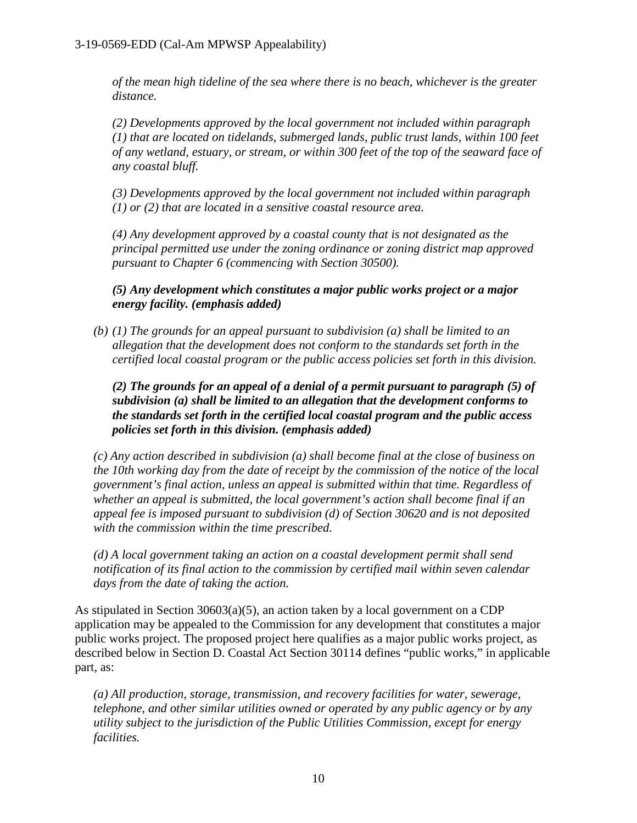*of the mean high tideline of the sea where there is no beach, whichever is the greater distance.* 

*(2) Developments approved by the local government not included within paragraph (1) that are located on tidelands, submerged lands, public trust lands, within 100 feet of any wetland, estuary, or stream, or within 300 feet of the top of the seaward face of any coastal bluff.* 

*(3) Developments approved by the local government not included within paragraph (1) or (2) that are located in a sensitive coastal resource area.* 

*(4) Any development approved by a coastal county that is not designated as the principal permitted use under the zoning ordinance or zoning district map approved pursuant to Chapter 6 (commencing with Section 30500).* 

*(5) Any development which constitutes a major public works project or a major energy facility. (emphasis added)*

*(b) (1) The grounds for an appeal pursuant to subdivision (a) shall be limited to an allegation that the development does not conform to the standards set forth in the certified local coastal program or the public access policies set forth in this division.*

*(2) The grounds for an appeal of a denial of a permit pursuant to paragraph (5) of subdivision (a) shall be limited to an allegation that the development conforms to the standards set forth in the certified local coastal program and the public access policies set forth in this division. (emphasis added)*

*(c) Any action described in subdivision (a) shall become final at the close of business on the 10th working day from the date of receipt by the commission of the notice of the local government's final action, unless an appeal is submitted within that time. Regardless of whether an appeal is submitted, the local government's action shall become final if an appeal fee is imposed pursuant to subdivision (d) of Section 30620 and is not deposited with the commission within the time prescribed.*

*(d) A local government taking an action on a coastal development permit shall send notification of its final action to the commission by certified mail within seven calendar days from the date of taking the action.*

As stipulated in Section  $30603(a)(5)$ , an action taken by a local government on a CDP application may be appealed to the Commission for any development that constitutes a major public works project. The proposed project here qualifies as a major public works project, as described below in Section D. Coastal Act Section 30114 defines "public works," in applicable part, as:

*(a) All production, storage, transmission, and recovery facilities for water, sewerage, telephone, and other similar utilities owned or operated by any public agency or by any utility subject to the jurisdiction of the Public Utilities Commission, except for energy facilities.*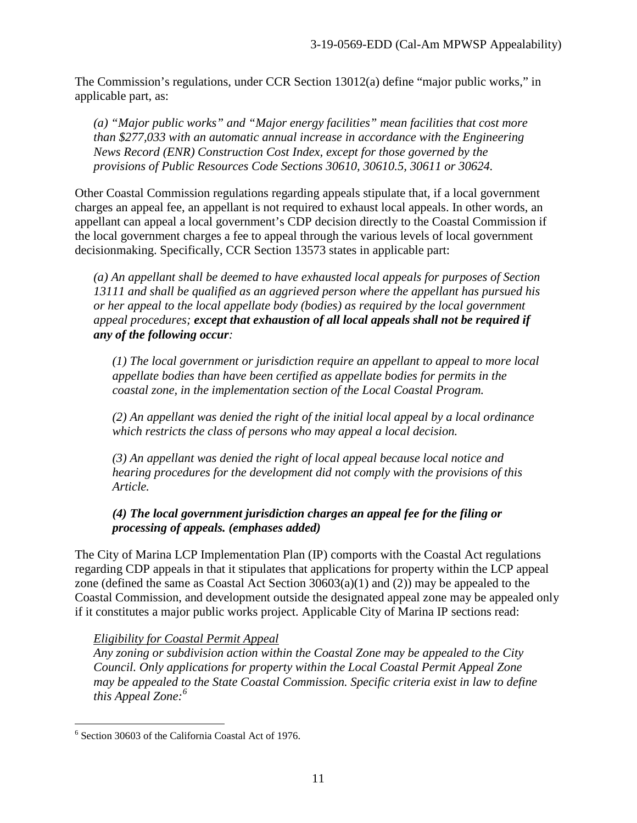The Commission's regulations, under CCR Section 13012(a) define "major public works," in applicable part, as:

*(a) "Major public works" and "Major energy facilities" mean facilities that cost more than \$277,033 with an automatic annual increase in accordance with the Engineering News Record (ENR) Construction Cost Index, except for those governed by the provisions of Public Resources Code Sections 30610, 30610.5, 30611 or 30624.*

Other Coastal Commission regulations regarding appeals stipulate that, if a local government charges an appeal fee, an appellant is not required to exhaust local appeals. In other words, an appellant can appeal a local government's CDP decision directly to the Coastal Commission if the local government charges a fee to appeal through the various levels of local government decisionmaking. Specifically, CCR Section 13573 states in applicable part:

*(a) An appellant shall be deemed to have exhausted local appeals for purposes of Section 13111 and shall be qualified as an aggrieved person where the appellant has pursued his or her appeal to the local appellate body (bodies) as required by the local government appeal procedures; except that exhaustion of all local appeals shall not be required if any of the following occur:*

*(1) The local government or jurisdiction require an appellant to appeal to more local appellate bodies than have been certified as appellate bodies for permits in the coastal zone, in the implementation section of the Local Coastal Program.*

*(2) An appellant was denied the right of the initial local appeal by a local ordinance which restricts the class of persons who may appeal a local decision.*

*(3) An appellant was denied the right of local appeal because local notice and hearing procedures for the development did not comply with the provisions of this Article.*

#### *(4) The local government jurisdiction charges an appeal fee for the filing or processing of appeals. (emphases added)*

The City of Marina LCP Implementation Plan (IP) comports with the Coastal Act regulations regarding CDP appeals in that it stipulates that applications for property within the LCP appeal zone (defined the same as Coastal Act Section 30603(a)(1) and (2)) may be appealed to the Coastal Commission, and development outside the designated appeal zone may be appealed only if it constitutes a major public works project. Applicable City of Marina IP sections read:

#### *Eligibility for Coastal Permit Appeal*

*Any zoning or subdivision action within the Coastal Zone may be appealed to the City Council. Only applications for property within the Local Coastal Permit Appeal Zone may be appealed to the State Coastal Commission. Specific criteria exist in law to define this Appeal Zone:[6](#page-10-0)*

<span id="page-10-0"></span><sup>&</sup>lt;sup>6</sup> Section 30603 of the California Coastal Act of 1976.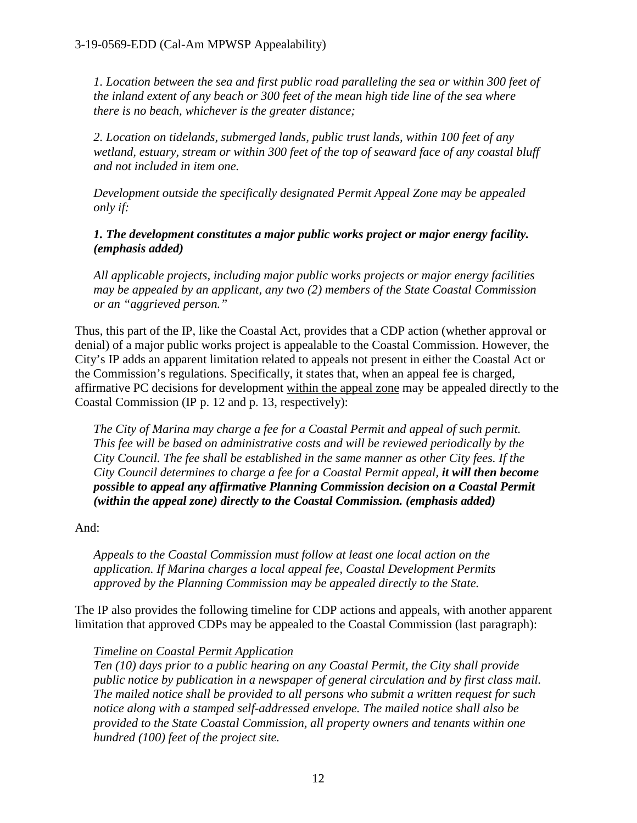*1. Location between the sea and first public road paralleling the sea or within 300 feet of the inland extent of any beach or 300 feet of the mean high tide line of the sea where there is no beach, whichever is the greater distance;*

*2. Location on tidelands, submerged lands, public trust lands, within 100 feet of any wetland, estuary, stream or within 300 feet of the top of seaward face of any coastal bluff and not included in item one.*

*Development outside the specifically designated Permit Appeal Zone may be appealed only if:*

*1. The development constitutes a major public works project or major energy facility. (emphasis added)*

*All applicable projects, including major public works projects or major energy facilities may be appealed by an applicant, any two (2) members of the State Coastal Commission or an "aggrieved person."*

Thus, this part of the IP, like the Coastal Act, provides that a CDP action (whether approval or denial) of a major public works project is appealable to the Coastal Commission. However, the City's IP adds an apparent limitation related to appeals not present in either the Coastal Act or the Commission's regulations. Specifically, it states that, when an appeal fee is charged, affirmative PC decisions for development within the appeal zone may be appealed directly to the Coastal Commission (IP p. 12 and p. 13, respectively):

*The City of Marina may charge a fee for a Coastal Permit and appeal of such permit. This fee will be based on administrative costs and will be reviewed periodically by the City Council. The fee shall be established in the same manner as other City fees. If the City Council determines to charge a fee for a Coastal Permit appeal, it will then become possible to appeal any affirmative Planning Commission decision on a Coastal Permit (within the appeal zone) directly to the Coastal Commission. (emphasis added)*

#### And:

*Appeals to the Coastal Commission must follow at least one local action on the application. If Marina charges a local appeal fee, Coastal Development Permits approved by the Planning Commission may be appealed directly to the State.*

The IP also provides the following timeline for CDP actions and appeals, with another apparent limitation that approved CDPs may be appealed to the Coastal Commission (last paragraph):

#### *Timeline on Coastal Permit Application*

*Ten (10) days prior to a public hearing on any Coastal Permit, the City shall provide public notice by publication in a newspaper of general circulation and by first class mail. The mailed notice shall be provided to all persons who submit a written request for such notice along with a stamped self-addressed envelope. The mailed notice shall also be provided to the State Coastal Commission, all property owners and tenants within one hundred (100) feet of the project site.*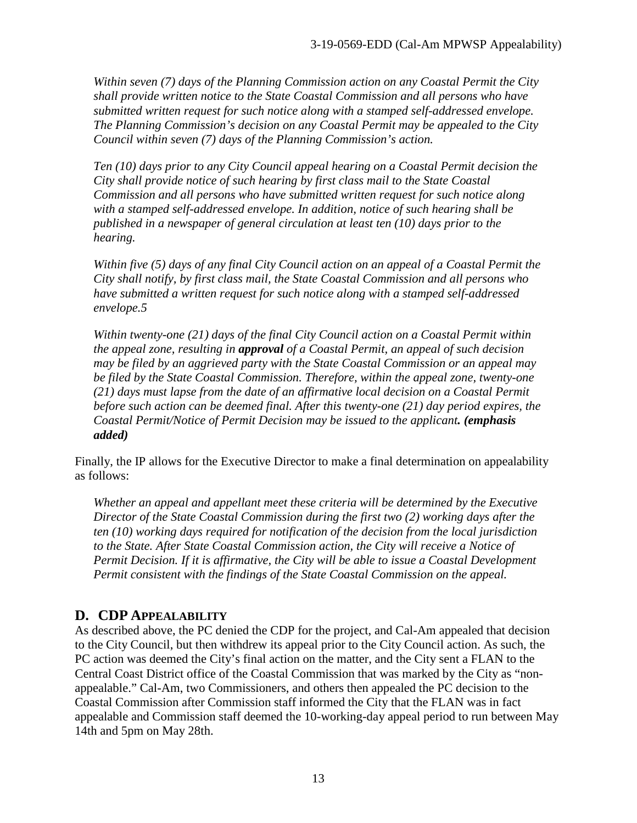*Within seven (7) days of the Planning Commission action on any Coastal Permit the City shall provide written notice to the State Coastal Commission and all persons who have submitted written request for such notice along with a stamped self-addressed envelope. The Planning Commission's decision on any Coastal Permit may be appealed to the City Council within seven (7) days of the Planning Commission's action.* 

*Ten (10) days prior to any City Council appeal hearing on a Coastal Permit decision the City shall provide notice of such hearing by first class mail to the State Coastal Commission and all persons who have submitted written request for such notice along with a stamped self-addressed envelope. In addition, notice of such hearing shall be published in a newspaper of general circulation at least ten (10) days prior to the hearing.*

*Within five (5) days of any final City Council action on an appeal of a Coastal Permit the City shall notify, by first class mail, the State Coastal Commission and all persons who have submitted a written request for such notice along with a stamped self-addressed envelope.5* 

*Within twenty-one (21) days of the final City Council action on a Coastal Permit within the appeal zone, resulting in approval of a Coastal Permit, an appeal of such decision may be filed by an aggrieved party with the State Coastal Commission or an appeal may be filed by the State Coastal Commission. Therefore, within the appeal zone, twenty-one (21) days must lapse from the date of an affirmative local decision on a Coastal Permit before such action can be deemed final. After this twenty-one (21) day period expires, the Coastal Permit/Notice of Permit Decision may be issued to the applicant. (emphasis added)*

Finally, the IP allows for the Executive Director to make a final determination on appealability as follows:

*Whether an appeal and appellant meet these criteria will be determined by the Executive Director of the State Coastal Commission during the first two (2) working days after the ten (10) working days required for notification of the decision from the local jurisdiction to the State. After State Coastal Commission action, the City will receive a Notice of Permit Decision. If it is affirmative, the City will be able to issue a Coastal Development Permit consistent with the findings of the State Coastal Commission on the appeal.*

#### <span id="page-12-0"></span>**D. CDP APPEALABILITY**

As described above, the PC denied the CDP for the project, and Cal-Am appealed that decision to the City Council, but then withdrew its appeal prior to the City Council action. As such, the PC action was deemed the City's final action on the matter, and the City sent a FLAN to the Central Coast District office of the Coastal Commission that was marked by the City as "nonappealable." Cal-Am, two Commissioners, and others then appealed the PC decision to the Coastal Commission after Commission staff informed the City that the FLAN was in fact appealable and Commission staff deemed the 10-working-day appeal period to run between May 14th and 5pm on May 28th.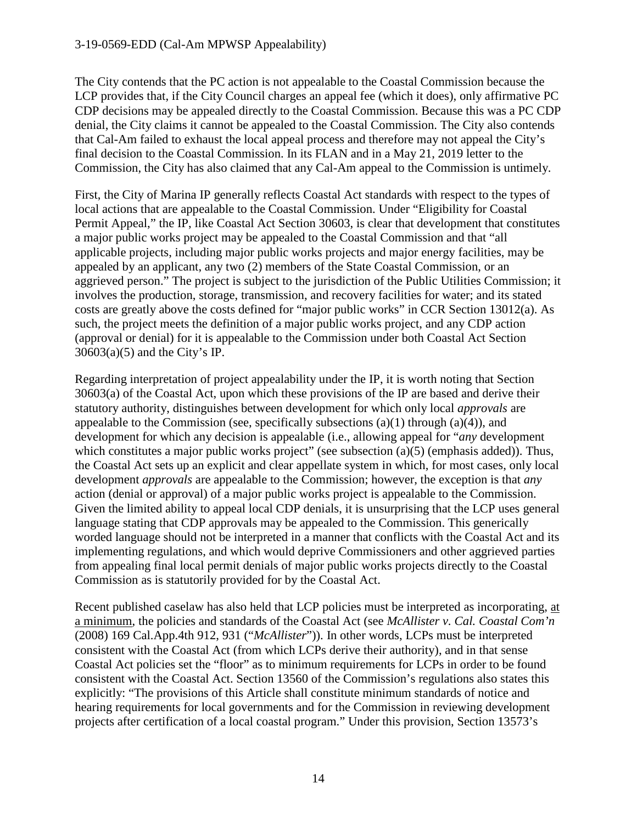The City contends that the PC action is not appealable to the Coastal Commission because the LCP provides that, if the City Council charges an appeal fee (which it does), only affirmative PC CDP decisions may be appealed directly to the Coastal Commission. Because this was a PC CDP denial, the City claims it cannot be appealed to the Coastal Commission. The City also contends that Cal-Am failed to exhaust the local appeal process and therefore may not appeal the City's final decision to the Coastal Commission. In its FLAN and in a May 21, 2019 letter to the Commission, the City has also claimed that any Cal-Am appeal to the Commission is untimely.

First, the City of Marina IP generally reflects Coastal Act standards with respect to the types of local actions that are appealable to the Coastal Commission. Under "Eligibility for Coastal Permit Appeal," the IP, like Coastal Act Section 30603, is clear that development that constitutes a major public works project may be appealed to the Coastal Commission and that "all applicable projects, including major public works projects and major energy facilities, may be appealed by an applicant, any two (2) members of the State Coastal Commission, or an aggrieved person." The project is subject to the jurisdiction of the Public Utilities Commission; it involves the production, storage, transmission, and recovery facilities for water; and its stated costs are greatly above the costs defined for "major public works" in CCR Section 13012(a). As such, the project meets the definition of a major public works project, and any CDP action (approval or denial) for it is appealable to the Commission under both Coastal Act Section  $30603(a)(5)$  and the City's IP.

Regarding interpretation of project appealability under the IP, it is worth noting that Section 30603(a) of the Coastal Act, upon which these provisions of the IP are based and derive their statutory authority, distinguishes between development for which only local *approvals* are appealable to the Commission (see, specifically subsections  $(a)(1)$  through  $(a)(4)$ ), and development for which any decision is appealable (i.e., allowing appeal for "*any* development which constitutes a major public works project" (see subsection (a)(5) (emphasis added)). Thus, the Coastal Act sets up an explicit and clear appellate system in which, for most cases, only local development *approvals* are appealable to the Commission; however, the exception is that *any* action (denial or approval) of a major public works project is appealable to the Commission. Given the limited ability to appeal local CDP denials, it is unsurprising that the LCP uses general language stating that CDP approvals may be appealed to the Commission. This generically worded language should not be interpreted in a manner that conflicts with the Coastal Act and its implementing regulations, and which would deprive Commissioners and other aggrieved parties from appealing final local permit denials of major public works projects directly to the Coastal Commission as is statutorily provided for by the Coastal Act.

Recent published caselaw has also held that LCP policies must be interpreted as incorporating, at a minimum, the policies and standards of the Coastal Act (see *McAllister v. Cal. Coastal Com'n*  (2008) 169 Cal.App.4th 912, 931 ("*McAllister*")). In other words, LCPs must be interpreted consistent with the Coastal Act (from which LCPs derive their authority), and in that sense Coastal Act policies set the "floor" as to minimum requirements for LCPs in order to be found consistent with the Coastal Act. Section 13560 of the Commission's regulations also states this explicitly: "The provisions of this Article shall constitute minimum standards of notice and hearing requirements for local governments and for the Commission in reviewing development projects after certification of a local coastal program." Under this provision, Section 13573's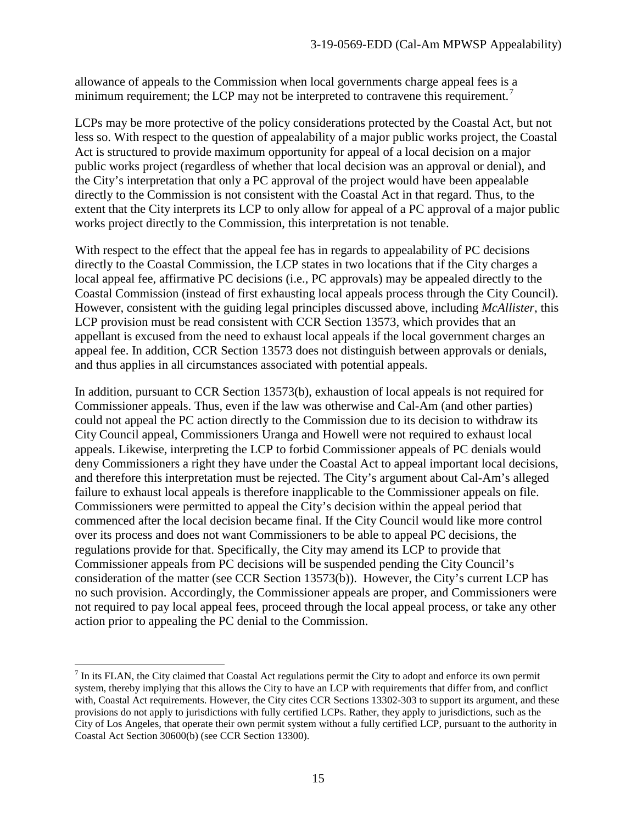allowance of appeals to the Commission when local governments charge appeal fees is a minimum requirement; the LCP may not be interpreted to contravene this requirement.<sup>[7](#page-14-0)</sup>

LCPs may be more protective of the policy considerations protected by the Coastal Act, but not less so. With respect to the question of appealability of a major public works project, the Coastal Act is structured to provide maximum opportunity for appeal of a local decision on a major public works project (regardless of whether that local decision was an approval or denial), and the City's interpretation that only a PC approval of the project would have been appealable directly to the Commission is not consistent with the Coastal Act in that regard. Thus, to the extent that the City interprets its LCP to only allow for appeal of a PC approval of a major public works project directly to the Commission, this interpretation is not tenable.

With respect to the effect that the appeal fee has in regards to appealability of PC decisions directly to the Coastal Commission, the LCP states in two locations that if the City charges a local appeal fee, affirmative PC decisions (i.e., PC approvals) may be appealed directly to the Coastal Commission (instead of first exhausting local appeals process through the City Council). However, consistent with the guiding legal principles discussed above, including *McAllister*, this LCP provision must be read consistent with CCR Section 13573, which provides that an appellant is excused from the need to exhaust local appeals if the local government charges an appeal fee. In addition, CCR Section 13573 does not distinguish between approvals or denials, and thus applies in all circumstances associated with potential appeals.

In addition, pursuant to CCR Section 13573(b), exhaustion of local appeals is not required for Commissioner appeals. Thus, even if the law was otherwise and Cal-Am (and other parties) could not appeal the PC action directly to the Commission due to its decision to withdraw its City Council appeal, Commissioners Uranga and Howell were not required to exhaust local appeals. Likewise, interpreting the LCP to forbid Commissioner appeals of PC denials would deny Commissioners a right they have under the Coastal Act to appeal important local decisions, and therefore this interpretation must be rejected. The City's argument about Cal-Am's alleged failure to exhaust local appeals is therefore inapplicable to the Commissioner appeals on file. Commissioners were permitted to appeal the City's decision within the appeal period that commenced after the local decision became final. If the City Council would like more control over its process and does not want Commissioners to be able to appeal PC decisions, the regulations provide for that. Specifically, the City may amend its LCP to provide that Commissioner appeals from PC decisions will be suspended pending the City Council's consideration of the matter (see CCR Section 13573(b)). However, the City's current LCP has no such provision. Accordingly, the Commissioner appeals are proper, and Commissioners were not required to pay local appeal fees, proceed through the local appeal process, or take any other action prior to appealing the PC denial to the Commission.

<span id="page-14-0"></span> $<sup>7</sup>$  In its FLAN, the City claimed that Coastal Act regulations permit the City to adopt and enforce its own permit</sup> system, thereby implying that this allows the City to have an LCP with requirements that differ from, and conflict with, Coastal Act requirements. However, the City cites CCR Sections 13302-303 to support its argument, and these provisions do not apply to jurisdictions with fully certified LCPs. Rather, they apply to jurisdictions, such as the City of Los Angeles, that operate their own permit system without a fully certified LCP, pursuant to the authority in Coastal Act Section 30600(b) (see CCR Section 13300).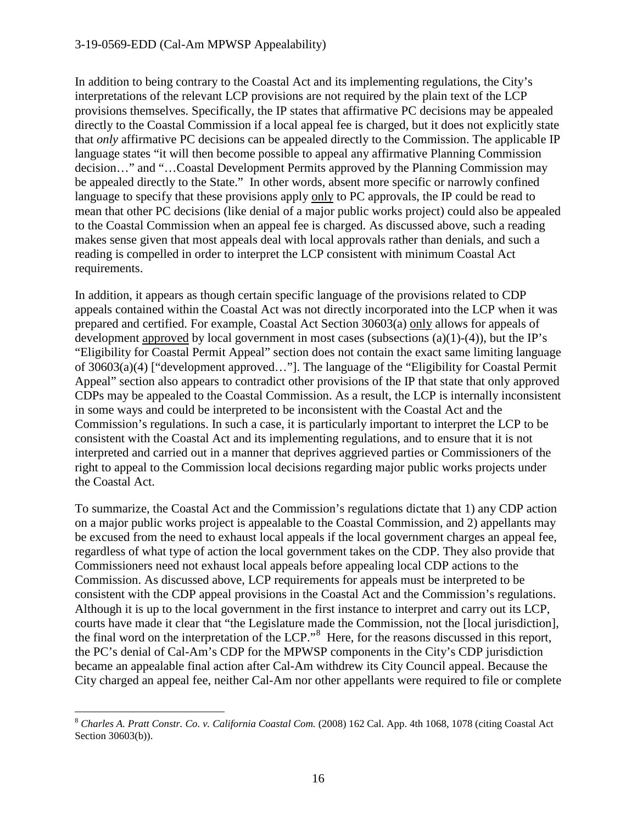#### 3-19-0569-EDD (Cal-Am MPWSP Appealability)

In addition to being contrary to the Coastal Act and its implementing regulations, the City's interpretations of the relevant LCP provisions are not required by the plain text of the LCP provisions themselves. Specifically, the IP states that affirmative PC decisions may be appealed directly to the Coastal Commission if a local appeal fee is charged, but it does not explicitly state that *only* affirmative PC decisions can be appealed directly to the Commission. The applicable IP language states "it will then become possible to appeal any affirmative Planning Commission decision…" and "…Coastal Development Permits approved by the Planning Commission may be appealed directly to the State." In other words, absent more specific or narrowly confined language to specify that these provisions apply only to PC approvals, the IP could be read to mean that other PC decisions (like denial of a major public works project) could also be appealed to the Coastal Commission when an appeal fee is charged. As discussed above, such a reading makes sense given that most appeals deal with local approvals rather than denials, and such a reading is compelled in order to interpret the LCP consistent with minimum Coastal Act requirements.

In addition, it appears as though certain specific language of the provisions related to CDP appeals contained within the Coastal Act was not directly incorporated into the LCP when it was prepared and certified. For example, Coastal Act Section 30603(a) only allows for appeals of development approved by local government in most cases (subsections  $(a)(1)-(4)$ ), but the IP's "Eligibility for Coastal Permit Appeal" section does not contain the exact same limiting language of 30603(a)(4) ["development approved…"]. The language of the "Eligibility for Coastal Permit Appeal" section also appears to contradict other provisions of the IP that state that only approved CDPs may be appealed to the Coastal Commission. As a result, the LCP is internally inconsistent in some ways and could be interpreted to be inconsistent with the Coastal Act and the Commission's regulations. In such a case, it is particularly important to interpret the LCP to be consistent with the Coastal Act and its implementing regulations, and to ensure that it is not interpreted and carried out in a manner that deprives aggrieved parties or Commissioners of the right to appeal to the Commission local decisions regarding major public works projects under the Coastal Act.

To summarize, the Coastal Act and the Commission's regulations dictate that 1) any CDP action on a major public works project is appealable to the Coastal Commission, and 2) appellants may be excused from the need to exhaust local appeals if the local government charges an appeal fee, regardless of what type of action the local government takes on the CDP. They also provide that Commissioners need not exhaust local appeals before appealing local CDP actions to the Commission. As discussed above, LCP requirements for appeals must be interpreted to be consistent with the CDP appeal provisions in the Coastal Act and the Commission's regulations. Although it is up to the local government in the first instance to interpret and carry out its LCP, courts have made it clear that "the Legislature made the Commission, not the [local jurisdiction], the final word on the interpretation of the LCP."<sup>[8](#page-15-0)</sup> Here, for the reasons discussed in this report, the PC's denial of Cal-Am's CDP for the MPWSP components in the City's CDP jurisdiction became an appealable final action after Cal-Am withdrew its City Council appeal. Because the City charged an appeal fee, neither Cal-Am nor other appellants were required to file or complete

<span id="page-15-0"></span> <sup>8</sup> *Charles A. Pratt Constr. Co. v. California Coastal Com.* (2008) 162 Cal. App. 4th 1068, 1078 (citing Coastal Act Section 30603(b)).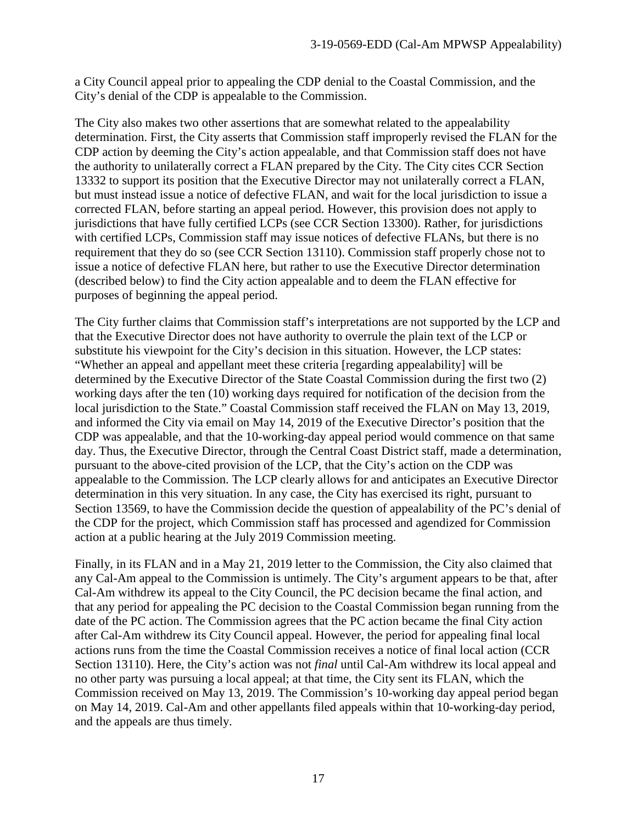a City Council appeal prior to appealing the CDP denial to the Coastal Commission, and the City's denial of the CDP is appealable to the Commission.

The City also makes two other assertions that are somewhat related to the appealability determination. First, the City asserts that Commission staff improperly revised the FLAN for the CDP action by deeming the City's action appealable, and that Commission staff does not have the authority to unilaterally correct a FLAN prepared by the City. The City cites CCR Section 13332 to support its position that the Executive Director may not unilaterally correct a FLAN, but must instead issue a notice of defective FLAN, and wait for the local jurisdiction to issue a corrected FLAN, before starting an appeal period. However, this provision does not apply to jurisdictions that have fully certified LCPs (see CCR Section 13300). Rather, for jurisdictions with certified LCPs, Commission staff may issue notices of defective FLANs, but there is no requirement that they do so (see CCR Section 13110). Commission staff properly chose not to issue a notice of defective FLAN here, but rather to use the Executive Director determination (described below) to find the City action appealable and to deem the FLAN effective for purposes of beginning the appeal period.

The City further claims that Commission staff's interpretations are not supported by the LCP and that the Executive Director does not have authority to overrule the plain text of the LCP or substitute his viewpoint for the City's decision in this situation. However, the LCP states: "Whether an appeal and appellant meet these criteria [regarding appealability] will be determined by the Executive Director of the State Coastal Commission during the first two (2) working days after the ten (10) working days required for notification of the decision from the local jurisdiction to the State." Coastal Commission staff received the FLAN on May 13, 2019, and informed the City via email on May 14, 2019 of the Executive Director's position that the CDP was appealable, and that the 10-working-day appeal period would commence on that same day. Thus, the Executive Director, through the Central Coast District staff, made a determination, pursuant to the above-cited provision of the LCP, that the City's action on the CDP was appealable to the Commission. The LCP clearly allows for and anticipates an Executive Director determination in this very situation. In any case, the City has exercised its right, pursuant to Section 13569, to have the Commission decide the question of appealability of the PC's denial of the CDP for the project, which Commission staff has processed and agendized for Commission action at a public hearing at the July 2019 Commission meeting.

Finally, in its FLAN and in a May 21, 2019 letter to the Commission, the City also claimed that any Cal-Am appeal to the Commission is untimely. The City's argument appears to be that, after Cal-Am withdrew its appeal to the City Council, the PC decision became the final action, and that any period for appealing the PC decision to the Coastal Commission began running from the date of the PC action. The Commission agrees that the PC action became the final City action after Cal-Am withdrew its City Council appeal. However, the period for appealing final local actions runs from the time the Coastal Commission receives a notice of final local action (CCR Section 13110). Here, the City's action was not *final* until Cal-Am withdrew its local appeal and no other party was pursuing a local appeal; at that time, the City sent its FLAN, which the Commission received on May 13, 2019. The Commission's 10-working day appeal period began on May 14, 2019. Cal-Am and other appellants filed appeals within that 10-working-day period, and the appeals are thus timely.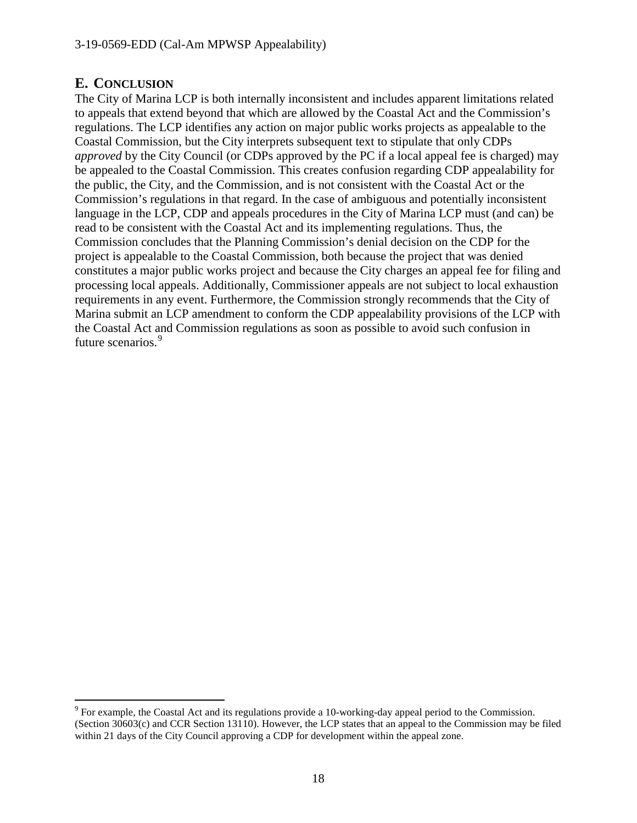#### <span id="page-17-0"></span>**E. CONCLUSION**

The City of Marina LCP is both internally inconsistent and includes apparent limitations related to appeals that extend beyond that which are allowed by the Coastal Act and the Commission's regulations. The LCP identifies any action on major public works projects as appealable to the Coastal Commission, but the City interprets subsequent text to stipulate that only CDPs *approved* by the City Council (or CDPs approved by the PC if a local appeal fee is charged) may be appealed to the Coastal Commission. This creates confusion regarding CDP appealability for the public, the City, and the Commission, and is not consistent with the Coastal Act or the Commission's regulations in that regard. In the case of ambiguous and potentially inconsistent language in the LCP, CDP and appeals procedures in the City of Marina LCP must (and can) be read to be consistent with the Coastal Act and its implementing regulations. Thus, the Commission concludes that the Planning Commission's denial decision on the CDP for the project is appealable to the Coastal Commission, both because the project that was denied constitutes a major public works project and because the City charges an appeal fee for filing and processing local appeals. Additionally, Commissioner appeals are not subject to local exhaustion requirements in any event. Furthermore, the Commission strongly recommends that the City of Marina submit an LCP amendment to conform the CDP appealability provisions of the LCP with the Coastal Act and Commission regulations as soon as possible to avoid such confusion in future scenarios.<sup>[9](#page-17-1)</sup>

<span id="page-17-1"></span> <sup>9</sup> For example, the Coastal Act and its regulations provide a 10-working-day appeal period to the Commission. (Section 30603(c) and CCR Section 13110). However, the LCP states that an appeal to the Commission may be filed within 21 days of the City Council approving a CDP for development within the appeal zone.